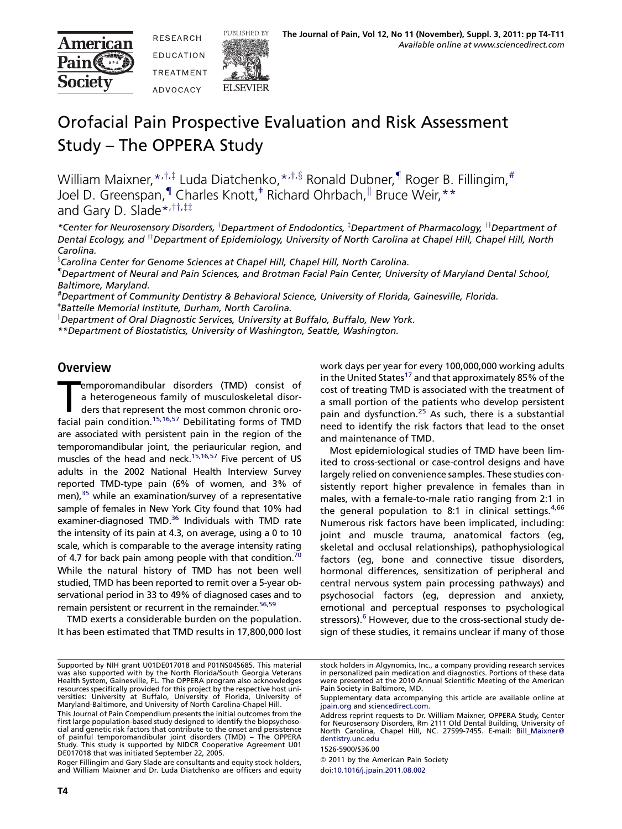The Journal of Pain, Vol 12, No 11 (November), Suppl. 3, 2011: pp T4-T11 Available online at [www.sciencedirect.com](http://www.sciencedirect.com)



**RESEARCH** EDUCATION **TREATMENT ADVOCACY** 



**PUBLISHED BY** 

# Orofacial Pain Prospective Evaluation and Risk Assessment Study – The OPPERA Study

William Maixner,  $\star$ ,  $\ddagger$ ,  $\ddagger$  Luda Diatchenko,  $\star$ ,  $\ddagger$ ,  $\ddagger$  Ronald Dubner,  $\text{T}$  Roger B. Fillingim,  $\ddagger$ Joel D. Greenspan, <sup>¶</sup> Charles Knott,<sup>‡</sup> Richard Ohrbach, <sup>∥</sup> Bruce Weir, \* \* and Gary D. Slade\*, tt, ##

\*Center for Neurosensory Disorders, †Department of Endodontics, ‡Department of Pharmacology, ††Department of Dental Ecology, and <sup>‡‡</sup>Department of Epidemiology, University of North Carolina at Chapel Hill, Chapel Hill, North Carolina.

 $^\circ$ Carolina Center for Genome Sciences at Chapel Hill, Chapel Hill, North Carolina.

{ Department of Neural and Pain Sciences, and Brotman Facial Pain Center, University of Maryland Dental School, Baltimore, Maryland.

# Department of Community Dentistry & Behavioral Science, University of Florida, Gainesville, Florida. ǂ Battelle Memorial Institute, Durham, North Carolina.

k Department of Oral Diagnostic Services, University at Buffalo, Buffalo, New York.

\*\*Department of Biostatistics, University of Washington, Seattle, Washington.

### Overview

emporomandibular disorders (TMD) consist of<br>a heterogeneous family of musculoskeletal disor-<br>ders that represent the most common chronic oro-<br>facial pain condition.<sup>[15,16,57](#page-5-0)</sup> Debilitating forms of TMD emporomandibular disorders (TMD) consist of a heterogeneous family of musculoskeletal disorders that represent the most common chronic oroare associated with persistent pain in the region of the temporomandibular joint, the periauricular region, and muscles of the head and neck.<sup>[15,16,57](#page-5-0)</sup> Five percent of US adults in the 2002 National Health Interview Survey reported TMD-type pain (6% of women, and 3% of men), $35$  while an examination/survey of a representative sample of females in New York City found that 10% had examiner-diagnosed TMD.<sup>[36](#page-5-0)</sup> Individuals with TMD rate the intensity of its pain at 4.3, on average, using a 0 to 10 scale, which is comparable to the average intensity rating of 4.7 for back pain among people with that condition.<sup>[70](#page-7-0)</sup> While the natural history of TMD has not been well studied, TMD has been reported to remit over a 5-year observational period in 33 to 49% of diagnosed cases and to remain persistent or recurrent in the remainder.<sup>[56,59](#page-6-0)</sup>

TMD exerts a considerable burden on the population. It has been estimated that TMD results in 17,800,000 lost work days per year for every 100,000,000 working adults in the United States<sup>17</sup> and that approximately 85% of the cost of treating TMD is associated with the treatment of a small portion of the patients who develop persistent pain and dysfunction.<sup>[25](#page-5-0)</sup> As such, there is a substantial need to identify the risk factors that lead to the onset and maintenance of TMD.

Most epidemiological studies of TMD have been limited to cross-sectional or case-control designs and have largely relied on convenience samples. These studies consistently report higher prevalence in females than in males, with a female-to-male ratio ranging from 2:1 in the general population to 8:1 in clinical settings.  $4,66$ Numerous risk factors have been implicated, including: joint and muscle trauma, anatomical factors (eg, skeletal and occlusal relationships), pathophysiological factors (eg, bone and connective tissue disorders, hormonal differences, sensitization of peripheral and central nervous system pain processing pathways) and psychosocial factors (eg, depression and anxiety, emotional and perceptual responses to psychological stressors).<sup>[6](#page-4-0)</sup> However, due to the cross-sectional study design of these studies, it remains unclear if many of those

Supported by NIH grant U01DE017018 and P01NS045685. This material was also supported with by the North Florida/South Georgia Veterans Health System, Gainesville, FL. The OPPERA program also acknowledges resources specifically provided for this project by the respective host uni-versities: University at Buffalo, University of Florida, University of Maryland-Baltimore, and University of North Carolina-Chapel Hill.

This Journal of Pain Compendium presents the initial outcomes from the first large population-based study designed to identify the biopsychoso-cial and genetic risk factors that contribute to the onset and persistence of painful temporomandibular joint disorders (TMD) – The OPPERA Study. This study is supported by NIDCR Cooperative Agreement U01 DE017018 that was initiated September 22, 2005.

Roger Fillingim and Gary Slade are consultants and equity stock holders, and William Maixner and Dr. Luda Diatchenko are officers and equity

stock holders in Algynomics, Inc., a company providing research services in personalized pain medication and diagnostics. Portions of these data were presented at the 2010 Annual Scientific Meeting of the American Pain Society in Baltimore, MD.

Supplementary data accompanying this article are available online at [jpain.org](http://jpain.org) and [sciencedirect.com](http://sciencedirect.com).

Address reprint requests to Dr. William Maixner, OPPERA Study, Center for Neurosensory Disorders, Rm 2111 Old Dental Building, University of North Carolina, Chapel Hill, NC. 27599-7455. E-mail: [Bill\\_Maixner@](mailto:Bill_Maixner@dentistry.unc.edu) [dentistry.unc.edu](mailto:Bill_Maixner@dentistry.unc.edu)

<sup>1526-5900/\$36.00</sup>

<sup>&</sup>lt;sup>©</sup> 2011 by the American Pain Society doi:[10.1016/j.jpain.2011.08.002](http://dx.doi.org/10.1016/j.jpain.2011.08.002)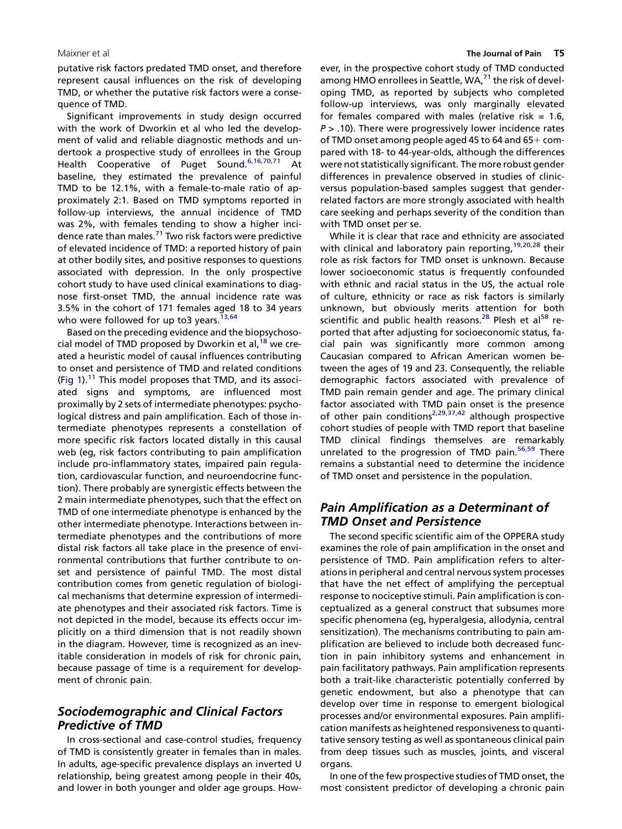putative risk factors predated TMD onset, and therefore represent causal influences on the risk of developing TMD, or whether the putative risk factors were a consequence of TMD.

Significant improvements in study design occurred with the work of Dworkin et al who led the development of valid and reliable diagnostic methods and undertook a prospective study of enrollees in the Group Health Cooperative of Puget Sound.[6,16,70,71](#page-4-0) At baseline, they estimated the prevalence of painful TMD to be 12.1%, with a female-to-male ratio of approximately 2:1. Based on TMD symptoms reported in follow-up interviews, the annual incidence of TMD was 2%, with females tending to show a higher incidence rate than males[.71](#page-7-0) Two risk factors were predictive of elevated incidence of TMD: a reported history of pain at other bodily sites, and positive responses to questions associated with depression. In the only prospective cohort study to have used clinical examinations to diagnose first-onset TMD, the annual incidence rate was 3.5% in the cohort of 171 females aged 18 to 34 years who were followed for up to3 years.<sup>[13,64](#page-5-0)</sup>

Based on the preceding evidence and the biopsychoso-cial model of TMD proposed by Dworkin et al,<sup>[18](#page-5-0)</sup> we created a heuristic model of causal influences contributing to onset and persistence of TMD and related conditions ([Fig 1](#page-2-0)). $11$  This model proposes that TMD, and its associated signs and symptoms, are influenced most proximally by 2 sets of intermediate phenotypes: psychological distress and pain amplification. Each of those intermediate phenotypes represents a constellation of more specific risk factors located distally in this causal web (eg, risk factors contributing to pain amplification include pro-inflammatory states, impaired pain regulation, cardiovascular function, and neuroendocrine function). There probably are synergistic effects between the 2 main intermediate phenotypes, such that the effect on TMD of one intermediate phenotype is enhanced by the other intermediate phenotype. Interactions between intermediate phenotypes and the contributions of more distal risk factors all take place in the presence of environmental contributions that further contribute to onset and persistence of painful TMD. The most distal contribution comes from genetic regulation of biological mechanisms that determine expression of intermediate phenotypes and their associated risk factors. Time is not depicted in the model, because its effects occur implicitly on a third dimension that is not readily shown in the diagram. However, time is recognized as an inevitable consideration in models of risk for chronic pain, because passage of time is a requirement for development of chronic pain.

#### Sociodemographic and Clinical Factors Predictive of TMD

In cross-sectional and case-control studies, frequency of TMD is consistently greater in females than in males. In adults, age-specific prevalence displays an inverted U relationship, being greatest among people in their 40s, and lower in both younger and older age groups. How-

ever, in the prospective cohort study of TMD conducted among HMO enrollees in Seattle, WA,<sup>[71](#page-7-0)</sup> the risk of developing TMD, as reported by subjects who completed follow-up interviews, was only marginally elevated for females compared with males (relative risk  $= 1.6$ ,  $P > .10$ ). There were progressively lower incidence rates of TMD onset among people aged 45 to 64 and  $65+$  compared with 18- to 44-year-olds, although the differences were not statistically significant. The more robust gender differences in prevalence observed in studies of clinicversus population-based samples suggest that genderrelated factors are more strongly associated with health care seeking and perhaps severity of the condition than with TMD onset per se. Maixner et al The Journal of Pain T5

> While it is clear that race and ethnicity are associated with clinical and laboratory pain reporting,<sup>[19,20,28](#page-5-0)</sup> their role as risk factors for TMD onset is unknown. Because lower socioeconomic status is frequently confounded with ethnic and racial status in the US, the actual role of culture, ethnicity or race as risk factors is similarly unknown, but obviously merits attention for both scientific and public health reasons.<sup>[28](#page-5-0)</sup> Plesh et al<sup>[58](#page-6-0)</sup> reported that after adjusting for socioeconomic status, facial pain was significantly more common among Caucasian compared to African American women between the ages of 19 and 23. Consequently, the reliable demographic factors associated with prevalence of TMD pain remain gender and age. The primary clinical factor associated with TMD pain onset is the presence of other pain conditions<sup>[2,29,37,42](#page-4-0)</sup> although prospective cohort studies of people with TMD report that baseline TMD clinical findings themselves are remarkably unrelated to the progression of TMD pain.<sup>56,59</sup> There remains a substantial need to determine the incidence of TMD onset and persistence in the population.

#### Pain Amplification as a Determinant of TMD Onset and Persistence

The second specific scientific aim of the OPPERA study examines the role of pain amplification in the onset and persistence of TMD. Pain amplification refers to alterations in peripheral and central nervous system processes that have the net effect of amplifying the perceptual response to nociceptive stimuli. Pain amplification is conceptualized as a general construct that subsumes more specific phenomena (eg, hyperalgesia, allodynia, central sensitization). The mechanisms contributing to pain amplification are believed to include both decreased function in pain inhibitory systems and enhancement in pain facilitatory pathways. Pain amplification represents both a trait-like characteristic potentially conferred by genetic endowment, but also a phenotype that can develop over time in response to emergent biological processes and/or environmental exposures. Pain amplification manifests as heightened responsiveness to quantitative sensory testing as well as spontaneous clinical pain from deep tissues such as muscles, joints, and visceral organs.

In one of the few prospective studies of TMD onset, the most consistent predictor of developing a chronic pain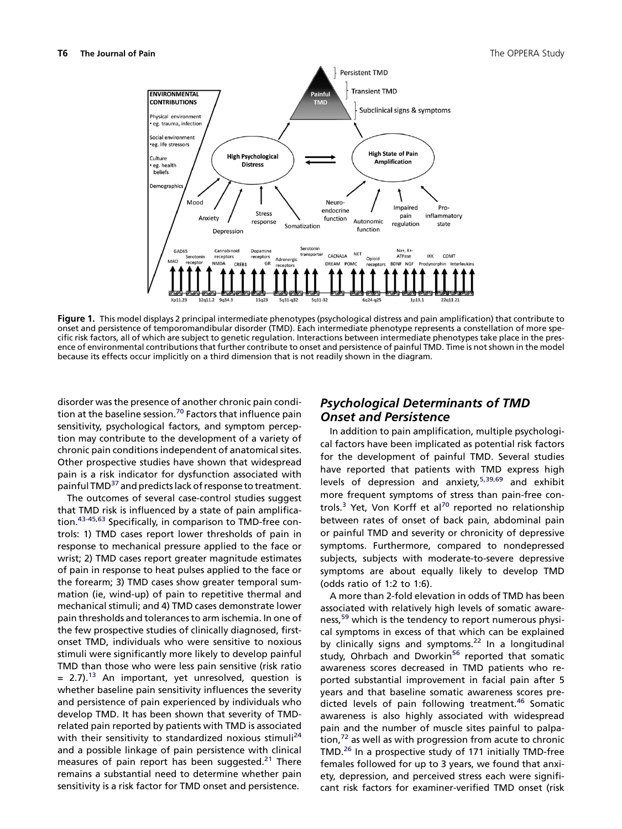<span id="page-2-0"></span>

Figure 1. This model displays 2 principal intermediate phenotypes (psychological distress and pain amplification) that contribute to onset and persistence of temporomandibular disorder (TMD). Each intermediate phenotype represents a constellation of more specific risk factors, all of which are subject to genetic regulation. Interactions between intermediate phenotypes take place in the presence of environmental contributions that further contribute to onset and persistence of painful TMD. Time is not shown in the model because its effects occur implicitly on a third dimension that is not readily shown in the diagram.

disorder was the presence of another chronic pain condition at the baseline session.<sup>70</sup> Factors that influence pain sensitivity, psychological factors, and symptom perception may contribute to the development of a variety of chronic pain conditions independent of anatomical sites. Other prospective studies have shown that widespread pain is a risk indicator for dysfunction associated with painful TMD<sup>[37](#page-5-0)</sup> and predicts lack of response to treatment.

The outcomes of several case-control studies suggest that TMD risk is influenced by a state of pain amplification.[43-45,63](#page-6-0) Specifically, in comparison to TMD-free controls: 1) TMD cases report lower thresholds of pain in response to mechanical pressure applied to the face or wrist; 2) TMD cases report greater magnitude estimates of pain in response to heat pulses applied to the face or the forearm; 3) TMD cases show greater temporal summation (ie, wind-up) of pain to repetitive thermal and mechanical stimuli; and 4) TMD cases demonstrate lower pain thresholds and tolerances to arm ischemia. In one of the few prospective studies of clinically diagnosed, firstonset TMD, individuals who were sensitive to noxious stimuli were significantly more likely to develop painful TMD than those who were less pain sensitive (risk ratio  $= 2.7$ ).<sup>13</sup> An important, yet unresolved, question is whether baseline pain sensitivity influences the severity and persistence of pain experienced by individuals who develop TMD. It has been shown that severity of TMDrelated pain reported by patients with TMD is associated with their sensitivity to standardized noxious stimuli<sup>[24](#page-5-0)</sup> and a possible linkage of pain persistence with clinical measures of pain report has been suggested. $21$  There remains a substantial need to determine whether pain sensitivity is a risk factor for TMD onset and persistence.

#### Psychological Determinants of TMD Onset and Persistence

In addition to pain amplification, multiple psychological factors have been implicated as potential risk factors for the development of painful TMD. Several studies have reported that patients with TMD express high levels of depression and anxiety,<sup>[5,39,69](#page-4-0)</sup> and exhibit more frequent symptoms of stress than pain-free con-trols.<sup>[3](#page-4-0)</sup> Yet, Von Korff et al<sup>[70](#page-7-0)</sup> reported no relationship between rates of onset of back pain, abdominal pain or painful TMD and severity or chronicity of depressive symptoms. Furthermore, compared to nondepressed subjects, subjects with moderate-to-severe depressive symptoms are about equally likely to develop TMD (odds ratio of 1:2 to 1:6).

A more than 2-fold elevation in odds of TMD has been associated with relatively high levels of somatic aware-ness,<sup>[59](#page-6-0)</sup> which is the tendency to report numerous physical symptoms in excess of that which can be explained by clinically signs and symptoms.<sup>[22](#page-5-0)</sup> In a longitudinal study, Ohrbach and Dworkin<sup>[56](#page-6-0)</sup> reported that somatic awareness scores decreased in TMD patients who reported substantial improvement in facial pain after 5 years and that baseline somatic awareness scores pre-dicted levels of pain following treatment.<sup>[46](#page-6-0)</sup> Somatic awareness is also highly associated with widespread pain and the number of muscle sites painful to palpation, $72$  as well as with progression from acute to chronic TMD[.26](#page-5-0) In a prospective study of 171 initially TMD-free females followed for up to 3 years, we found that anxiety, depression, and perceived stress each were significant risk factors for examiner-verified TMD onset (risk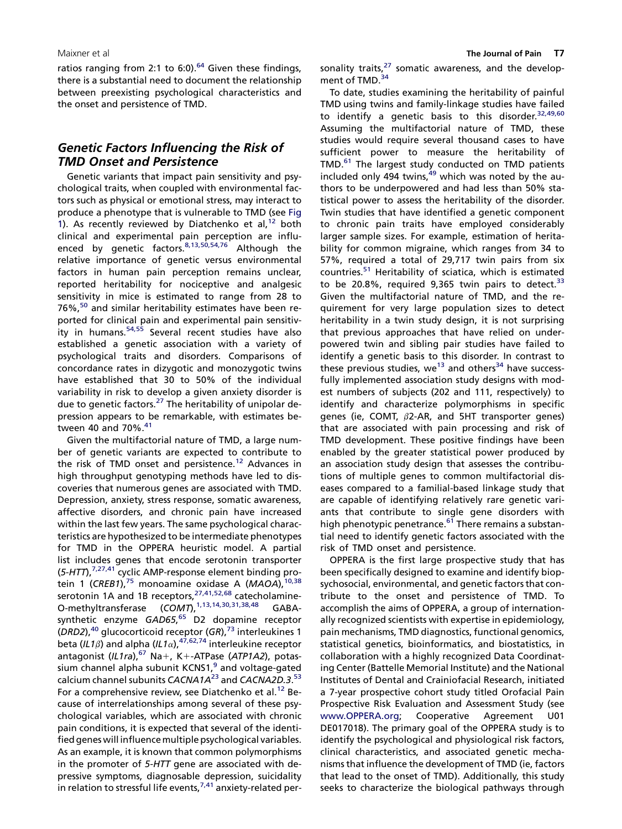ratios ranging from 2:1 to 6:0). $64$  Given these findings, there is a substantial need to document the relationship between preexisting psychological characteristics and the onset and persistence of TMD.

#### Genetic Factors Influencing the Risk of TMD Onset and Persistence

Genetic variants that impact pain sensitivity and psychological traits, when coupled with environmental factors such as physical or emotional stress, may interact to produce a phenotype that is vulnerable to TMD (see [Fig](#page-2-0) [1\)](#page-2-0). As recently reviewed by Diatchenko et al, $12$  both clinical and experimental pain perception are influ-enced by genetic factors.<sup>[8,13,50,54,76](#page-4-0)</sup> Although the relative importance of genetic versus environmental factors in human pain perception remains unclear, reported heritability for nociceptive and analgesic sensitivity in mice is estimated to range from 28 to 76%,<sup>50</sup> and similar heritability estimates have been reported for clinical pain and experimental pain sensitiv-ity in humans.<sup>[54,55](#page-6-0)</sup> Several recent studies have also established a genetic association with a variety of psychological traits and disorders. Comparisons of concordance rates in dizygotic and monozygotic twins have established that 30 to 50% of the individual variability in risk to develop a given anxiety disorder is due to genetic factors.<sup>[27](#page-5-0)</sup> The heritability of unipolar depression appears to be remarkable, with estimates be-tween 40 and 70%.<sup>[41](#page-6-0)</sup>

Given the multifactorial nature of TMD, a large number of genetic variants are expected to contribute to the risk of TMD onset and persistence.<sup>[12](#page-5-0)</sup> Advances in high throughput genotyping methods have led to discoveries that numerous genes are associated with TMD. Depression, anxiety, stress response, somatic awareness, affective disorders, and chronic pain have increased within the last few years. The same psychological characteristics are hypothesized to be intermediate phenotypes for TMD in the OPPERA heuristic model. A partial list includes genes that encode serotonin transporter (5-HTT),<sup>[7,27,41](#page-4-0)</sup> cyclic AMP-response element binding pro-tein 1 (CREB1),<sup>75</sup> monoamine oxidase A (MAOA),<sup>[10,38](#page-5-0)</sup> serotonin 1A and 1B receptors, [27,41,52,68](#page-5-0) catecholamine-O-methyltransferase (COMT),<sup>1,13,14,30,31,38,48</sup> GABA-synthetic enzyme GAD[65](#page-6-0),<sup>65</sup> D2 dopamine receptor (DRD2),<sup>[40](#page-6-0)</sup> glucocorticoid receptor (GR),<sup>[73](#page-7-0)</sup> interleukines 1 beta (IL1 $\beta$ ) and alpha (IL1 $\alpha$ ),<sup>[47,62,74](#page-6-0)</sup> interleukine receptor antagonist (IL1ra),  $67$  Na+, K+-ATPase (ATP1A2), potas-sium channel alpha subunit KCNS1,<sup>[9](#page-5-0)</sup> and voltage-gated calcium channel subunits CACNA1A<sup>[23](#page-5-0)</sup> and CACNA2D.3.<sup>[53](#page-6-0)</sup> For a comprehensive review, see Diatchenko et al.<sup>12</sup> Because of interrelationships among several of these psychological variables, which are associated with chronic pain conditions, it is expected that several of the identified genes will influence multiple psychological variables. As an example, it is known that common polymorphisms in the promoter of 5-HTT gene are associated with depressive symptoms, diagnosable depression, suicidality in relation to stressful life events,  $7,41$  anxiety-related per-

The Journal of Pain T7<br>- ratios ranging from 2:1 to 6:0).<sup>64</sup> Given these findings, sonality traits,<sup>[27](#page-5-0)</sup> somatic awareness, and the develop ment of TMD.<sup>[34](#page-5-0)</sup>

To date, studies examining the heritability of painful TMD using twins and family-linkage studies have failed to identify a genetic basis to this disorder.<sup>[32,49,60](#page-5-0)</sup> Assuming the multifactorial nature of TMD, these studies would require several thousand cases to have sufficient power to measure the heritability of TMD.<sup>61</sup> The largest study conducted on TMD patients included only [49](#page-6-0)4 twins, $49$  which was noted by the authors to be underpowered and had less than 50% statistical power to assess the heritability of the disorder. Twin studies that have identified a genetic component to chronic pain traits have employed considerably larger sample sizes. For example, estimation of heritability for common migraine, which ranges from 34 to 57%, required a total of 29,717 twin pairs from six countries.[51](#page-6-0) Heritability of sciatica, which is estimated to be 20.8%, required 9,365 twin pairs to detect.  $33$ Given the multifactorial nature of TMD, and the requirement for very large population sizes to detect heritability in a twin study design, it is not surprising that previous approaches that have relied on underpowered twin and sibling pair studies have failed to identify a genetic basis to this disorder. In contrast to these previous studies, we<sup>[13](#page-5-0)</sup> and others<sup>[34](#page-5-0)</sup> have successfully implemented association study designs with modest numbers of subjects (202 and 111, respectively) to identify and characterize polymorphisms in specific genes (ie, COMT,  $\beta$ 2-AR, and 5HT transporter genes) that are associated with pain processing and risk of TMD development. These positive findings have been enabled by the greater statistical power produced by an association study design that assesses the contributions of multiple genes to common multifactorial diseases compared to a familial-based linkage study that are capable of identifying relatively rare genetic variants that contribute to single gene disorders with high phenotypic penetrance.<sup>[61](#page-6-0)</sup> There remains a substantial need to identify genetic factors associated with the risk of TMD onset and persistence.

OPPERA is the first large prospective study that has been specifically designed to examine and identify biopsychosocial, environmental, and genetic factors that contribute to the onset and persistence of TMD. To accomplish the aims of OPPERA, a group of internationally recognized scientists with expertise in epidemiology, pain mechanisms, TMD diagnostics, functional genomics, statistical genetics, bioinformatics, and biostatistics, in collaboration with a highly recognized Data Coordinating Center (Battelle Memorial Institute) and the National Institutes of Dental and Crainiofacial Research, initiated a 7-year prospective cohort study titled Orofacial Pain Prospective Risk Evaluation and Assessment Study (see [www.OPPERA.org](http://www.OPPERA.org); Cooperative Agreement U01 DE017018). The primary goal of the OPPERA study is to identify the psychological and physiological risk factors, clinical characteristics, and associated genetic mechanisms that influence the development of TMD (ie, factors that lead to the onset of TMD). Additionally, this study seeks to characterize the biological pathways through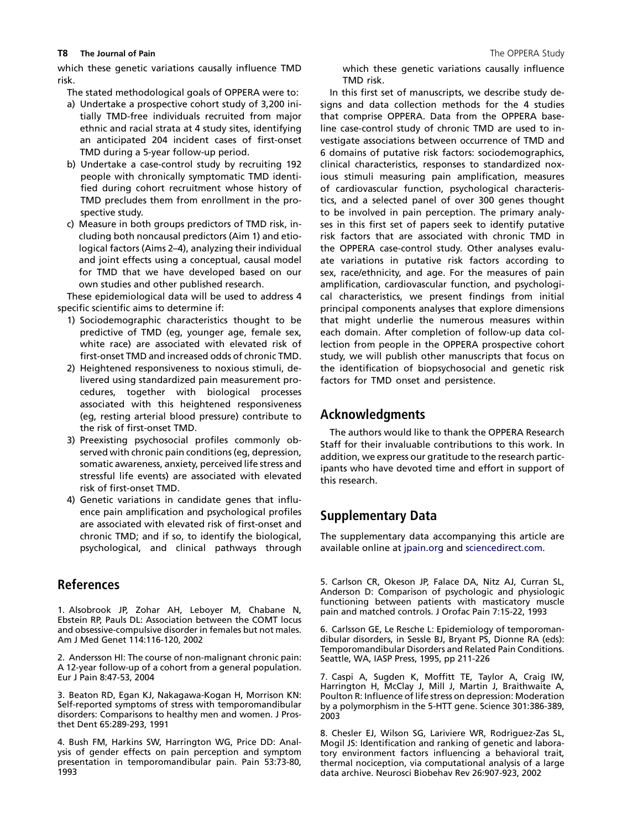## <span id="page-4-0"></span>T8 The Journal of Pain The OPPERA Study

which these genetic variations causally influence TMD risk.

The stated methodological goals of OPPERA were to:

- a) Undertake a prospective cohort study of 3,200 initially TMD-free individuals recruited from major ethnic and racial strata at 4 study sites, identifying an anticipated 204 incident cases of first-onset TMD during a 5-year follow-up period.
- b) Undertake a case-control study by recruiting 192 people with chronically symptomatic TMD identified during cohort recruitment whose history of TMD precludes them from enrollment in the prospective study.
- c) Measure in both groups predictors of TMD risk, including both noncausal predictors (Aim 1) and etiological factors (Aims 2–4), analyzing their individual and joint effects using a conceptual, causal model for TMD that we have developed based on our own studies and other published research.

These epidemiological data will be used to address 4 specific scientific aims to determine if:

- 1) Sociodemographic characteristics thought to be predictive of TMD (eg, younger age, female sex, white race) are associated with elevated risk of first-onset TMD and increased odds of chronic TMD.
- 2) Heightened responsiveness to noxious stimuli, delivered using standardized pain measurement procedures, together with biological processes associated with this heightened responsiveness (eg, resting arterial blood pressure) contribute to the risk of first-onset TMD.
- 3) Preexisting psychosocial profiles commonly observed with chronic pain conditions (eg, depression, somatic awareness, anxiety, perceived life stress and stressful life events) are associated with elevated risk of first-onset TMD.
- 4) Genetic variations in candidate genes that influence pain amplification and psychological profiles are associated with elevated risk of first-onset and chronic TMD; and if so, to identify the biological, psychological, and clinical pathways through

### References

1. Alsobrook JP, Zohar AH, Leboyer M, Chabane N, Ebstein RP, Pauls DL: Association between the COMT locus and obsessive-compulsive disorder in females but not males. Am J Med Genet 114:116-120, 2002

2. Andersson HI: The course of non-malignant chronic pain: A 12-year follow-up of a cohort from a general population. Eur J Pain 8:47-53, 2004

3. Beaton RD, Egan KJ, Nakagawa-Kogan H, Morrison KN: Self-reported symptoms of stress with temporomandibular disorders: Comparisons to healthy men and women. J Prosthet Dent 65:289-293, 1991

4. Bush FM, Harkins SW, Harrington WG, Price DD: Analysis of gender effects on pain perception and symptom presentation in temporomandibular pain. Pain 53:73-80, 1993

which these genetic variations causally influence TMD risk.

In this first set of manuscripts, we describe study designs and data collection methods for the 4 studies that comprise OPPERA. Data from the OPPERA baseline case-control study of chronic TMD are used to investigate associations between occurrence of TMD and 6 domains of putative risk factors: sociodemographics, clinical characteristics, responses to standardized noxious stimuli measuring pain amplification, measures of cardiovascular function, psychological characteristics, and a selected panel of over 300 genes thought to be involved in pain perception. The primary analyses in this first set of papers seek to identify putative risk factors that are associated with chronic TMD in the OPPERA case-control study. Other analyses evaluate variations in putative risk factors according to sex, race/ethnicity, and age. For the measures of pain amplification, cardiovascular function, and psychological characteristics, we present findings from initial principal components analyses that explore dimensions that might underlie the numerous measures within each domain. After completion of follow-up data collection from people in the OPPERA prospective cohort study, we will publish other manuscripts that focus on the identification of biopsychosocial and genetic risk factors for TMD onset and persistence.

### Acknowledgments

The authors would like to thank the OPPERA Research Staff for their invaluable contributions to this work. In addition, we express our gratitude to the research participants who have devoted time and effort in support of this research.

### Supplementary Data

The supplementary data accompanying this article are available online at [jpain.org](http://jpain.org) and [sciencedirect.com](http://sciencedirect.com).

5. Carlson CR, Okeson JP, Falace DA, Nitz AJ, Curran SL, Anderson D: Comparison of psychologic and physiologic functioning between patients with masticatory muscle pain and matched controls. J Orofac Pain 7:15-22, 1993

6. Carlsson GE, Le Resche L: Epidemiology of temporomandibular disorders, in Sessle BJ, Bryant PS, Dionne RA (eds): Temporomandibular Disorders and Related Pain Conditions. Seattle, WA, IASP Press, 1995, pp 211-226

7. Caspi A, Sugden K, Moffitt TE, Taylor A, Craig IW, Harrington H, McClay J, Mill J, Martin J, Braithwaite A, Poulton R: Influence of life stress on depression: Moderation by a polymorphism in the 5-HTT gene. Science 301:386-389, 2003

8. Chesler EJ, Wilson SG, Lariviere WR, Rodriguez-Zas SL, Mogil JS: Identification and ranking of genetic and laboratory environment factors influencing a behavioral trait, thermal nociception, via computational analysis of a large data archive. Neurosci Biobehav Rev 26:907-923, 2002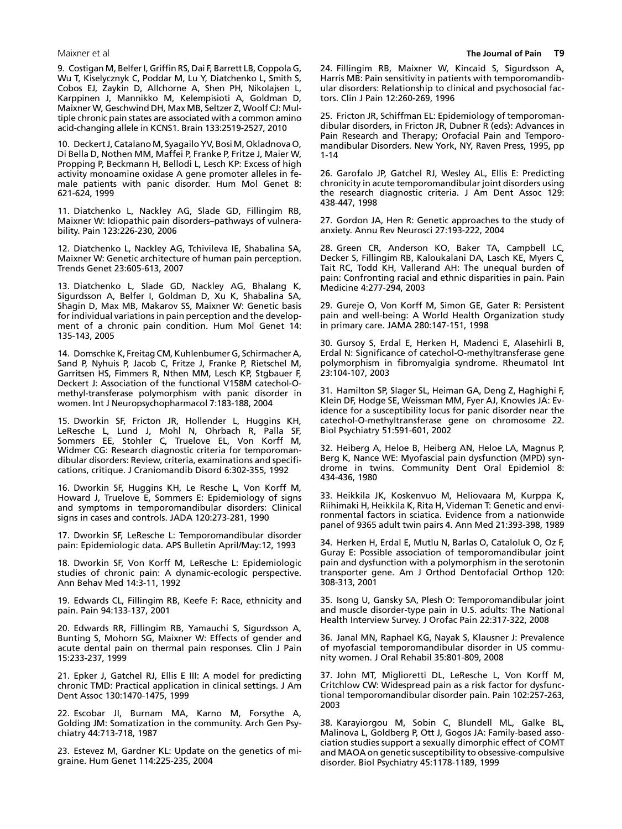<span id="page-5-0"></span>9. Costigan M, Belfer I, Griffin RS, Dai F, Barrett LB, Coppola G, Wu T, Kiselycznyk C, Poddar M, Lu Y, Diatchenko L, Smith S, Cobos EJ, Zaykin D, Allchorne A, Shen PH, Nikolajsen L, Karppinen J, Mannikko M, Kelempisioti A, Goldman D, Maixner W, Geschwind DH, Max MB, Seltzer Z, Woolf CJ: Multiple chronic pain states are associated with a common amino acid-changing allele in KCNS1. Brain 133:2519-2527, 2010

10. Deckert J, Catalano M, Syagailo YV, Bosi M, Okladnova O, Di Bella D, Nothen MM, Maffei P, Franke P, Fritze J, Maier W, Propping P, Beckmann H, Bellodi L, Lesch KP: Excess of high activity monoamine oxidase A gene promoter alleles in female patients with panic disorder. Hum Mol Genet 8: 621-624, 1999

11. Diatchenko L, Nackley AG, Slade GD, Fillingim RB, Maixner W: Idiopathic pain disorders–pathways of vulnerability. Pain 123:226-230, 2006

12. Diatchenko L, Nackley AG, Tchivileva IE, Shabalina SA, Maixner W: Genetic architecture of human pain perception. Trends Genet 23:605-613, 2007

13. Diatchenko L, Slade GD, Nackley AG, Bhalang K, Sigurdsson A, Belfer I, Goldman D, Xu K, Shabalina SA, Shagin D, Max MB, Makarov SS, Maixner W: Genetic basis for individual variations in pain perception and the development of a chronic pain condition. Hum Mol Genet 14: 135-143, 2005

14. Domschke K, Freitag CM, Kuhlenbumer G, Schirmacher A, Sand P, Nyhuis P, Jacob C, Fritze J, Franke P, Rietschel M, Garritsen HS, Fimmers R, Nthen MM, Lesch KP, Stgbauer F, Deckert J: Association of the functional V158M catechol-Omethyl-transferase polymorphism with panic disorder in women. Int J Neuropsychopharmacol 7:183-188, 2004

15. Dworkin SF, Fricton JR, Hollender L, Huggins KH, LeResche L, Lund J, Mohl N, Ohrbach R, Palla SF, Sommers EE, Stohler C, Truelove EL, Von Korff M, Widmer CG: Research diagnostic criteria for temporomandibular disorders: Review, criteria, examinations and specifications, critique. J Craniomandib Disord 6:302-355, 1992

16. Dworkin SF, Huggins KH, Le Resche L, Von Korff M, Howard J, Truelove E, Sommers E: Epidemiology of signs and symptoms in temporomandibular disorders: Clinical signs in cases and controls. JADA 120:273-281, 1990

17. Dworkin SF, LeResche L: Temporomandibular disorder pain: Epidemiologic data. APS Bulletin April/May:12, 1993

18. Dworkin SF, Von Korff M, LeResche L: Epidemiologic studies of chronic pain: A dynamic-ecologic perspective. Ann Behav Med 14:3-11, 1992

19. Edwards CL, Fillingim RB, Keefe F: Race, ethnicity and pain. Pain 94:133-137, 2001

20. Edwards RR, Fillingim RB, Yamauchi S, Sigurdsson A, Bunting S, Mohorn SG, Maixner W: Effects of gender and acute dental pain on thermal pain responses. Clin J Pain 15:233-237, 1999

21. Epker J, Gatchel RJ, Ellis E III: A model for predicting chronic TMD: Practical application in clinical settings. J Am Dent Assoc 130:1470-1475, 1999

22. Escobar JI, Burnam MA, Karno M, Forsythe A, Golding JM: Somatization in the community. Arch Gen Psychiatry 44:713-718, 1987

23. Estevez M, Gardner KL: Update on the genetics of migraine. Hum Genet 114:225-235, 2004

24. Fillingim RB, Maixner W, Kincaid S, Sigurdsson A, Harris MB: Pain sensitivity in patients with temporomandibular disorders: Relationship to clinical and psychosocial factors. Clin J Pain 12:260-269, 1996

25. Fricton JR, Schiffman EL: Epidemiology of temporomandibular disorders, in Fricton JR, Dubner R (eds): Advances in Pain Research and Therapy; Orofacial Pain and Temporomandibular Disorders. New York, NY, Raven Press, 1995, pp 1-14

26. Garofalo JP, Gatchel RJ, Wesley AL, Ellis E: Predicting chronicity in acute temporomandibular joint disorders using the research diagnostic criteria. J Am Dent Assoc 129: 438-447, 1998

27. Gordon JA, Hen R: Genetic approaches to the study of anxiety. Annu Rev Neurosci 27:193-222, 2004

28. Green CR, Anderson KO, Baker TA, Campbell LC, Decker S, Fillingim RB, Kaloukalani DA, Lasch KE, Myers C, Tait RC, Todd KH, Vallerand AH: The unequal burden of pain: Confronting racial and ethnic disparities in pain. Pain Medicine 4:277-294, 2003

29. Gureje O, Von Korff M, Simon GE, Gater R: Persistent pain and well-being: A World Health Organization study in primary care. JAMA 280:147-151, 1998

30. Gursoy S, Erdal E, Herken H, Madenci E, Alasehirli B, Erdal N: Significance of catechol-O-methyltransferase gene polymorphism in fibromyalgia syndrome. Rheumatol Int 23:104-107, 2003

31. Hamilton SP, Slager SL, Heiman GA, Deng Z, Haghighi F, Klein DF, Hodge SE, Weissman MM, Fyer AJ, Knowles JA: Evidence for a susceptibility locus for panic disorder near the catechol-O-methyltransferase gene on chromosome 22. Biol Psychiatry 51:591-601, 2002

32. Heiberg A, Heloe B, Heiberg AN, Heloe LA, Magnus P, Berg K, Nance WE: Myofascial pain dysfunction (MPD) syndrome in twins. Community Dent Oral Epidemiol 8: 434-436, 1980

33. Heikkila JK, Koskenvuo M, Heliovaara M, Kurppa K, Riihimaki H, Heikkila K, Rita H, Videman T: Genetic and environmental factors in sciatica. Evidence from a nationwide panel of 9365 adult twin pairs 4. Ann Med 21:393-398, 1989

34. Herken H, Erdal E, Mutlu N, Barlas O, Cataloluk O, Oz F, Guray E: Possible association of temporomandibular joint pain and dysfunction with a polymorphism in the serotonin transporter gene. Am J Orthod Dentofacial Orthop 120: 308-313, 2001

35. Isong U, Gansky SA, Plesh O: Temporomandibular joint and muscle disorder-type pain in U.S. adults: The National Health Interview Survey. J Orofac Pain 22:317-322, 2008

36. Janal MN, Raphael KG, Nayak S, Klausner J: Prevalence of myofascial temporomandibular disorder in US community women. J Oral Rehabil 35:801-809, 2008

37. John MT, Miglioretti DL, LeResche L, Von Korff M, Critchlow CW: Widespread pain as a risk factor for dysfunctional temporomandibular disorder pain. Pain 102:257-263, 2003

38. Karayiorgou M, Sobin C, Blundell ML, Galke BL, Malinova L, Goldberg P, Ott J, Gogos JA: Family-based association studies support a sexually dimorphic effect of COMT and MAOA on genetic susceptibility to obsessive-compulsive disorder. Biol Psychiatry 45:1178-1189, 1999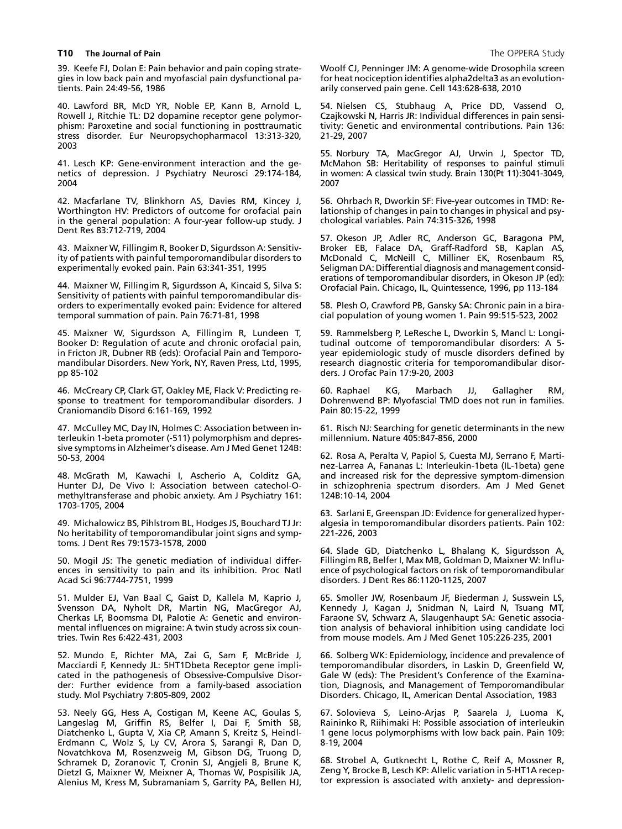## <span id="page-6-0"></span>T10 The Journal of Pain The OPPERA Study

39. Keefe FJ, Dolan E: Pain behavior and pain coping strategies in low back pain and myofascial pain dysfunctional patients. Pain 24:49-56, 1986

40. Lawford BR, McD YR, Noble EP, Kann B, Arnold L, Rowell J, Ritchie TL: D2 dopamine receptor gene polymorphism: Paroxetine and social functioning in posttraumatic stress disorder. Eur Neuropsychopharmacol 13:313-320, 2003

41. Lesch KP: Gene-environment interaction and the genetics of depression. J Psychiatry Neurosci 29:174-184, 2004

42. Macfarlane TV, Blinkhorn AS, Davies RM, Kincey J, Worthington HV: Predictors of outcome for orofacial pain in the general population: A four-year follow-up study. J Dent Res 83:712-719, 2004

43. Maixner W, Fillingim R, Booker D, Sigurdsson A: Sensitivity of patients with painful temporomandibular disorders to experimentally evoked pain. Pain 63:341-351, 1995

44. Maixner W, Fillingim R, Sigurdsson A, Kincaid S, Silva S: Sensitivity of patients with painful temporomandibular disorders to experimentally evoked pain: Evidence for altered temporal summation of pain. Pain 76:71-81, 1998

45. Maixner W, Sigurdsson A, Fillingim R, Lundeen T, Booker D: Regulation of acute and chronic orofacial pain, in Fricton JR, Dubner RB (eds): Orofacial Pain and Temporomandibular Disorders. New York, NY, Raven Press, Ltd, 1995, pp 85-102

46. McCreary CP, Clark GT, Oakley ME, Flack V: Predicting response to treatment for temporomandibular disorders. J Craniomandib Disord 6:161-169, 1992

47. McCulley MC, Day IN, Holmes C: Association between interleukin 1-beta promoter (-511) polymorphism and depressive symptoms in Alzheimer's disease. Am J Med Genet 124B: 50-53, 2004

48. McGrath M, Kawachi I, Ascherio A, Colditz GA, Hunter DJ, De Vivo I: Association between catechol-Omethyltransferase and phobic anxiety. Am J Psychiatry 161: 1703-1705, 2004

49. Michalowicz BS, Pihlstrom BL, Hodges JS, Bouchard TJ Jr: No heritability of temporomandibular joint signs and symptoms. J Dent Res 79:1573-1578, 2000

50. Mogil JS: The genetic mediation of individual differences in sensitivity to pain and its inhibition. Proc Natl Acad Sci 96:7744-7751, 1999

51. Mulder EJ, Van Baal C, Gaist D, Kallela M, Kaprio J, Svensson DA, Nyholt DR, Martin NG, MacGregor AJ, Cherkas LF, Boomsma DI, Palotie A: Genetic and environmental influences on migraine: A twin study across six countries. Twin Res 6:422-431, 2003

52. Mundo E, Richter MA, Zai G, Sam F, McBride J, Macciardi F, Kennedy JL: 5HT1Dbeta Receptor gene implicated in the pathogenesis of Obsessive-Compulsive Disorder: Further evidence from a family-based association study. Mol Psychiatry 7:805-809, 2002

53. Neely GG, Hess A, Costigan M, Keene AC, Goulas S, Langeslag M, Griffin RS, Belfer I, Dai F, Smith SB, Diatchenko L, Gupta V, Xia CP, Amann S, Kreitz S, Heindl-Erdmann C, Wolz S, Ly CV, Arora S, Sarangi R, Dan D, Novatchkova M, Rosenzweig M, Gibson DG, Truong D, Schramek D, Zoranovic T, Cronin SJ, Angjeli B, Brune K, Dietzl G, Maixner W, Meixner A, Thomas W, Pospisilik JA, Alenius M, Kress M, Subramaniam S, Garrity PA, Bellen HJ,

Woolf CJ, Penninger JM: A genome-wide Drosophila screen for heat nociception identifies alpha2delta3 as an evolutionarily conserved pain gene. Cell 143:628-638, 2010

54. Nielsen CS, Stubhaug A, Price DD, Vassend O, Czajkowski N, Harris JR: Individual differences in pain sensitivity: Genetic and environmental contributions. Pain 136: 21-29, 2007

55. Norbury TA, MacGregor AJ, Urwin J, Spector TD, McMahon SB: Heritability of responses to painful stimuli in women: A classical twin study. Brain 130(Pt 11):3041-3049, 2007

56. Ohrbach R, Dworkin SF: Five-year outcomes in TMD: Relationship of changes in pain to changes in physical and psychological variables. Pain 74:315-326, 1998

57. Okeson JP, Adler RC, Anderson GC, Baragona PM, Broker EB, Falace DA, Graff-Radford SB, Kaplan AS, McDonald C, McNeill C, Milliner EK, Rosenbaum RS, Seligman DA: Differential diagnosis and management considerations of temporomandibular disorders, in Okeson JP (ed): Orofacial Pain. Chicago, IL, Quintessence, 1996, pp 113-184

58. Plesh O, Crawford PB, Gansky SA: Chronic pain in a biracial population of young women 1. Pain 99:515-523, 2002

59. Rammelsberg P, LeResche L, Dworkin S, Mancl L: Longitudinal outcome of temporomandibular disorders: A 5 year epidemiologic study of muscle disorders defined by research diagnostic criteria for temporomandibular disorders. J Orofac Pain 17:9-20, 2003

60. Raphael KG, Marbach JJ, Gallagher RM, Dohrenwend BP: Myofascial TMD does not run in families. Pain 80:15-22, 1999

61. Risch NJ: Searching for genetic determinants in the new millennium. Nature 405:847-856, 2000

62. Rosa A, Peralta V, Papiol S, Cuesta MJ, Serrano F, Martinez-Larrea A, Fananas L: Interleukin-1beta (IL-1beta) gene and increased risk for the depressive symptom-dimension in schizophrenia spectrum disorders. Am J Med Genet 124B:10-14, 2004

63. Sarlani E, Greenspan JD: Evidence for generalized hyperalgesia in temporomandibular disorders patients. Pain 102: 221-226, 2003

64. Slade GD, Diatchenko L, Bhalang K, Sigurdsson A, Fillingim RB, Belfer I, Max MB, Goldman D, Maixner W: Influence of psychological factors on risk of temporomandibular disorders. J Dent Res 86:1120-1125, 2007

65. Smoller JW, Rosenbaum JF, Biederman J, Susswein LS, Kennedy J, Kagan J, Snidman N, Laird N, Tsuang MT, Faraone SV, Schwarz A, Slaugenhaupt SA: Genetic association analysis of behavioral inhibition using candidate loci from mouse models. Am J Med Genet 105:226-235, 2001

66. Solberg WK: Epidemiology, incidence and prevalence of temporomandibular disorders, in Laskin D, Greenfield W, Gale W (eds): The President's Conference of the Examination, Diagnosis, and Management of Temporomandibular Disorders. Chicago, IL, American Dental Association, 1983

67. Solovieva S, Leino-Arjas P, Saarela J, Luoma K, Raininko R, Riihimaki H: Possible association of interleukin 1 gene locus polymorphisms with low back pain. Pain 109: 8-19, 2004

68. Strobel A, Gutknecht L, Rothe C, Reif A, Mossner R, Zeng Y, Brocke B, Lesch KP: Allelic variation in 5-HT1A receptor expression is associated with anxiety- and depression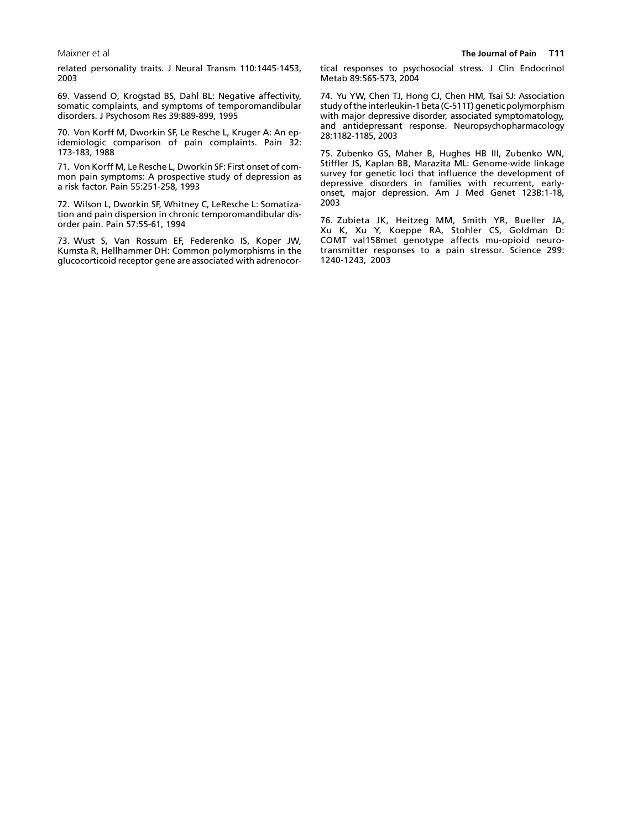<span id="page-7-0"></span>related personality traits. J Neural Transm 110:1445-1453, 2003

69. Vassend O, Krogstad BS, Dahl BL: Negative affectivity, somatic complaints, and symptoms of temporomandibular disorders. J Psychosom Res 39:889-899, 1995

70. Von Korff M, Dworkin SF, Le Resche L, Kruger A: An epidemiologic comparison of pain complaints. Pain 32: 173-183, 1988

71. Von Korff M, Le Resche L, Dworkin SF: First onset of common pain symptoms: A prospective study of depression as a risk factor. Pain 55:251-258, 1993

72. Wilson L, Dworkin SF, Whitney C, LeResche L: Somatization and pain dispersion in chronic temporomandibular disorder pain. Pain 57:55-61, 1994

73. Wust S, Van Rossum EF, Federenko IS, Koper JW, Kumsta R, Hellhammer DH: Common polymorphisms in the glucocorticoid receptor gene are associated with adrenocortical responses to psychosocial stress. J Clin Endocrinol Metab 89:565-573, 2004

74. Yu YW, Chen TJ, Hong CJ, Chen HM, Tsai SJ: Association study of the interleukin-1 beta (C-511T) genetic polymorphism with major depressive disorder, associated symptomatology, and antidepressant response. Neuropsychopharmacology 28:1182-1185, 2003

75. Zubenko GS, Maher B, Hughes HB III, Zubenko WN, Stiffler JS, Kaplan BB, Marazita ML: Genome-wide linkage survey for genetic loci that influence the development of depressive disorders in families with recurrent, earlyonset, major depression. Am J Med Genet 123B:1-18, 2003

76. Zubieta JK, Heitzeg MM, Smith YR, Bueller JA, Xu K, Xu Y, Koeppe RA, Stohler CS, Goldman D: COMT val158met genotype affects mu-opioid neurotransmitter responses to a pain stressor. Science 299: 1240-1243, 2003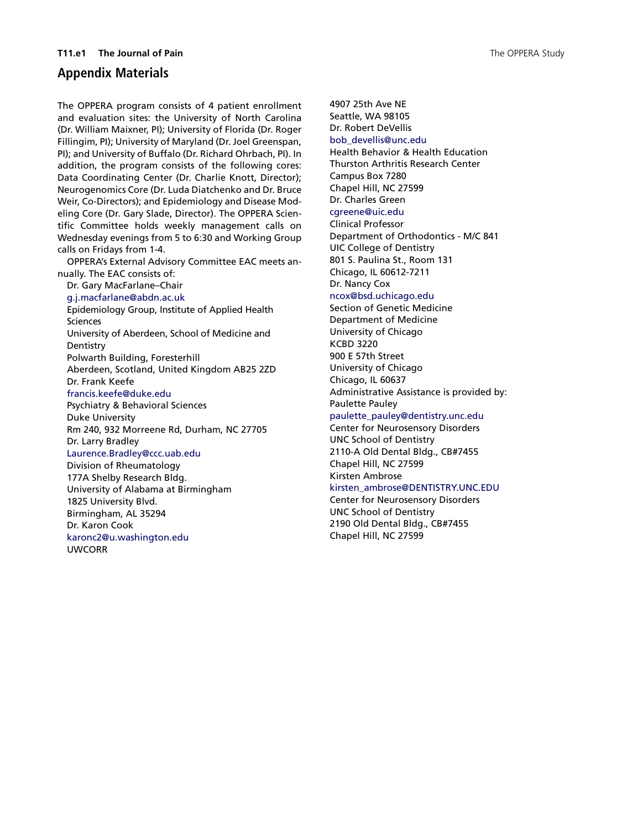### Appendix Materials

The OPPERA program consists of 4 patient enrollment and evaluation sites: the University of North Carolina (Dr. William Maixner, PI); University of Florida (Dr. Roger Fillingim, PI); University of Maryland (Dr. Joel Greenspan, PI); and University of Buffalo (Dr. Richard Ohrbach, PI). In addition, the program consists of the following cores: Data Coordinating Center (Dr. Charlie Knott, Director); Neurogenomics Core (Dr. Luda Diatchenko and Dr. Bruce Weir, Co-Directors); and Epidemiology and Disease Modeling Core (Dr. Gary Slade, Director). The OPPERA Scientific Committee holds weekly management calls on Wednesday evenings from 5 to 6:30 and Working Group calls on Fridays from 1-4.

OPPERA's External Advisory Committee EAC meets annually. The EAC consists of:

Dr. Gary MacFarlane–Chair

[g.j.macfarlane@abdn.ac.uk](mailto:g.j.macfarlane@abdn.ac.uk)

Epidemiology Group, Institute of Applied Health Sciences University of Aberdeen, School of Medicine and **Dentistry** Polwarth Building, Foresterhill Aberdeen, Scotland, United Kingdom AB25 2ZD Dr. Frank Keefe [francis.keefe@duke.edu](mailto:francis.keefe@duke.edu) Psychiatry & Behavioral Sciences Duke University Rm 240, 932 Morreene Rd, Durham, NC 27705 Dr. Larry Bradley [Laurence.Bradley@ccc.uab.edu](mailto:Laurence.Bradley@ccc.uab.edu) Division of Rheumatology 177A Shelby Research Bldg. University of Alabama at Birmingham 1825 University Blvd. Birmingham, AL 35294 Dr. Karon Cook [karonc2@u.washington.edu](mailto:karonc2@u.washington.edu) UWCORR

4907 25th Ave NE Seattle, WA 98105 Dr. Robert DeVellis [bob\\_devellis@unc.edu](mailto:bob_devellis@unc.edu) Health Behavior & Health Education Thurston Arthritis Research Center Campus Box 7280 Chapel Hill, NC 27599 Dr. Charles Green [cgreene@uic.edu](mailto:cgreene@uic.edu) Clinical Professor Department of Orthodontics - M/C 841 UIC College of Dentistry 801 S. Paulina St., Room 131 Chicago, IL 60612-7211 Dr. Nancy Cox [ncox@bsd.uchicago.edu](mailto:ncox@bsd.uchicago.edu) Section of Genetic Medicine Department of Medicine University of Chicago KCBD 3220 900 E 57th Street University of Chicago Chicago, IL 60637 Administrative Assistance is provided by: Paulette Pauley [paulette\\_pauley@dentistry.unc.edu](mailto:paulette_pauley@dentistry.unc.edu) Center for Neurosensory Disorders UNC School of Dentistry 2110-A Old Dental Bldg., CB#7455 Chapel Hill, NC 27599 Kirsten Ambrose [kirsten\\_ambrose@DENTISTRY.UNC.EDU](mailto:kirsten_ambrose@DENTISTRY.UNC.EDU) Center for Neurosensory Disorders

UNC School of Dentistry 2190 Old Dental Bldg., CB#7455 Chapel Hill, NC 27599